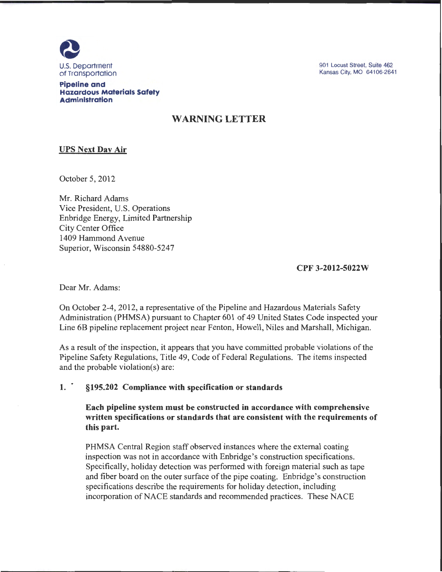

901 Locust Street, Suite 462 Kansas City, MO 64106-2641

**Pipeline and Hazardous Materials Safety Administration** 

# **WARNING LETTER**

## **UPS Next Day Air**

October 5, 2012

Mr. Richard Adams Vice President, U.S. Operations Enbridge Energy, Limited Partnership City Center Office 1409 Hammond A venue Superior, Wisconsin 54880-5247

**CPF 3-2012-5022W** 

Dear Mr. Adams:

On October 2-4, 2012, a representative of the Pipeline and Hazardous Materials Safety Administration (PHMSA) pursuant to Chapter 601 of 49 United States Code inspected your Line 6B pipeline replacement project near Fenton, Howell, Niles and Marshall, Michigan.

As a result of the inspection, it appears that you have committed probable violations of the Pipeline Safety Regulations, Title 49, Code of Federal Regulations. The items inspected and the probable violation(s) are:

### **1. · §195.202 Compliance with specification or standards**

**Each pipeline system must be constructed in accordance with comprehensive written specifications or standards that are consistent with the requirements of this part.** 

PHMSA Central Region staff observed instances where the external coating inspection was not in accordance with Enbridge's construction specifications. Specifically, holiday detection was performed with foreign material such as tape and fiber board on the outer surface of the pipe coating. Enbridge's construction specifications describe the requirements for holiday detection, including incorporation of NACE standards and recommended practices. These NACE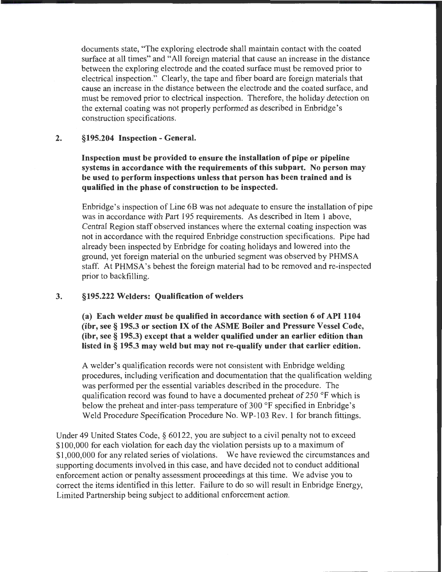documents state, "The exploring electrode shall maintain contact with the coated surface at all times" and "All foreign material that cause an increase in the distance between the exploring electrode and the coated surface must be removed prior to electrical inspection." Clearly, the tape and fiber board are foreign materials that cause an increase in the distance between the electrode and the coated surface, and must be removed prior to electrical inspection. Therefore, the holiday detection on the external coating was not properly performed as described in Enbridge's construction specifications.

#### 2. §195.204 Inspection- General.

Inspection must be provided to ensure the installation of pipe or pipeline systems in accordance with the requirements of this subpart. No person may be used to perform inspections unless that person has been trained and is qualified in the phase of construction to be inspected.

Enbridge's inspection of Line 6B was not adequate to ensure the installation of pipe was in accordance with Part 195 requirements. As described in Item 1 above, Central Region staff observed instances where the external coating inspection was not in accordance with the required Enbridge construction specifications. Pipe had already been inspected by Enbridge for coating holidays and lowered into the ground, yet foreign material on the unburied segment was observed by PHMSA staff. At PHMSA's behest the foreign material had to be removed and re-inspected prior to backfilling.

### 3. §195.222 Welders: Qualification of welders

(a) Each welder must be qualified in accordance with section 6 of API 1104 (ibr, see§ 195.3 or section IX of the ASME Boiler and Pressure Vessel Code, (ibr, see§ 195.3) except that a welder qualified under an earlier edition than listed in § 195.3 may weld but may not re-qualify under that earlier edition.

A welder's qualification records were not consistent with Enbridge welding procedures, including verification and documentation that the qualification welding was performed per the essential variables described in the procedure. The qualification record was found to have a documented preheat of 250 °F which is below the preheat and inter-pass temperature of 300 °F specified in Enbridge's Weld Procedure Specification Procedure No. WP-103 Rev. 1 for branch fittings.

Under 49 United States Code, § 60122, you are subject to a civil penalty not to exceed \$100,000 for each violation for each day the violation persists up to a maximum of \$1,000,000 for any related series of violations. We have reviewed the circumstances and supporting documents involved in this case, and have decided not to conduct additional enforcement action or penalty assessment proceedings at this time. We advise you to correct the items identified in this letter. Failure to do so will result in Enbridge Energy, Limited Partnership being subject to additional enforcement action.